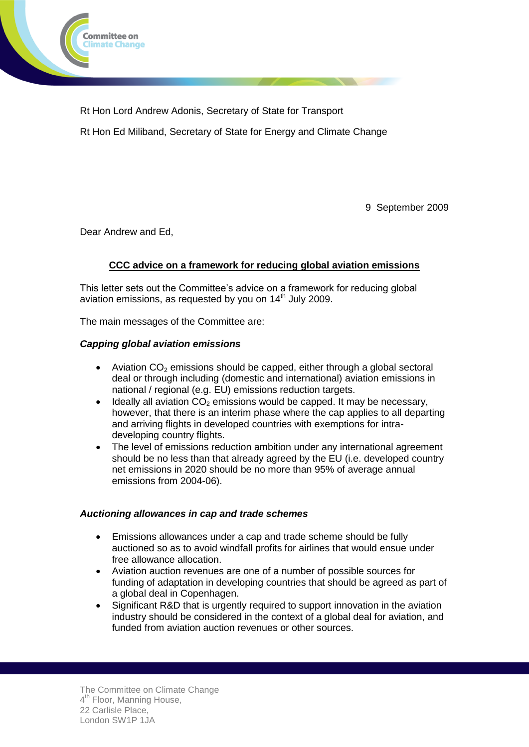

Rt Hon Lord Andrew Adonis, Secretary of State for Transport Rt Hon Ed Miliband, Secretary of State for Energy and Climate Change

9 September 2009

Dear Andrew and Ed,

# **CCC advice on a framework for reducing global aviation emissions**

This letter sets out the Committee's advice on a framework for reducing global aviation emissions, as requested by you on  $14<sup>th</sup>$  July 2009.

The main messages of the Committee are:

### *Capping global aviation emissions*

- Aviation  $CO<sub>2</sub>$  emissions should be capped, either through a global sectoral deal or through including (domestic and international) aviation emissions in national / regional (e.g. EU) emissions reduction targets.
- $\bullet$  Ideally all aviation  $CO<sub>2</sub>$  emissions would be capped. It may be necessary, however, that there is an interim phase where the cap applies to all departing and arriving flights in developed countries with exemptions for intradeveloping country flights.
- The level of emissions reduction ambition under any international agreement should be no less than that already agreed by the EU (i.e. developed country net emissions in 2020 should be no more than 95% of average annual emissions from 2004-06).

### *Auctioning allowances in cap and trade schemes*

- Emissions allowances under a cap and trade scheme should be fully auctioned so as to avoid windfall profits for airlines that would ensue under free allowance allocation.
- Aviation auction revenues are one of a number of possible sources for funding of adaptation in developing countries that should be agreed as part of a global deal in Copenhagen.
- Significant R&D that is urgently required to support innovation in the aviation industry should be considered in the context of a global deal for aviation, and funded from aviation auction revenues or other sources.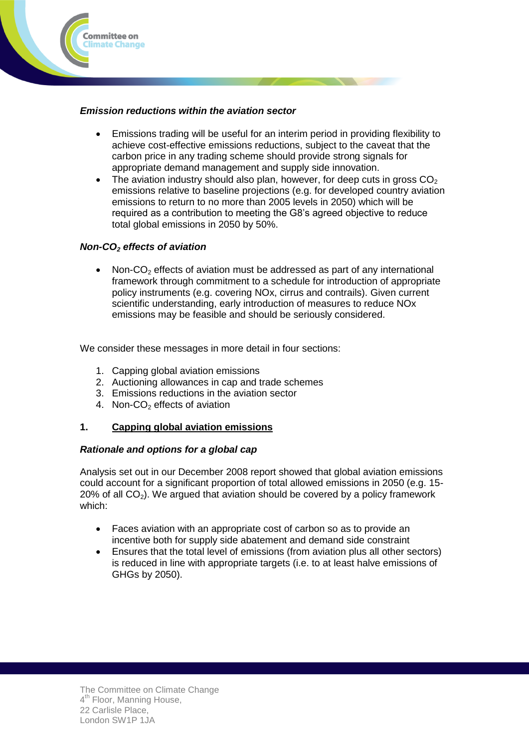

## *Emission reductions within the aviation sector*

- Emissions trading will be useful for an interim period in providing flexibility to achieve cost-effective emissions reductions, subject to the caveat that the carbon price in any trading scheme should provide strong signals for appropriate demand management and supply side innovation.
- The aviation industry should also plan, however, for deep cuts in gross  $CO<sub>2</sub>$ emissions relative to baseline projections (e.g. for developed country aviation emissions to return to no more than 2005 levels in 2050) which will be required as a contribution to meeting the G8's agreed objective to reduce total global emissions in 2050 by 50%.

## *Non-CO<sup>2</sup> effects of aviation*

Non- $CO<sub>2</sub>$  effects of aviation must be addressed as part of any international framework through commitment to a schedule for introduction of appropriate policy instruments (e.g. covering NOx, cirrus and contrails). Given current scientific understanding, early introduction of measures to reduce NOx emissions may be feasible and should be seriously considered.

We consider these messages in more detail in four sections:

- 1. Capping global aviation emissions
- 2. Auctioning allowances in cap and trade schemes
- 3. Emissions reductions in the aviation sector
- 4. Non-CO<sub>2</sub> effects of aviation

# **1. Capping global aviation emissions**

### *Rationale and options for a global cap*

Analysis set out in our December 2008 report showed that global aviation emissions could account for a significant proportion of total allowed emissions in 2050 (e.g. 15-  $20\%$  of all CO<sub>2</sub>). We argued that aviation should be covered by a policy framework which:

- Faces aviation with an appropriate cost of carbon so as to provide an incentive both for supply side abatement and demand side constraint
- Ensures that the total level of emissions (from aviation plus all other sectors) is reduced in line with appropriate targets (i.e. to at least halve emissions of GHGs by 2050).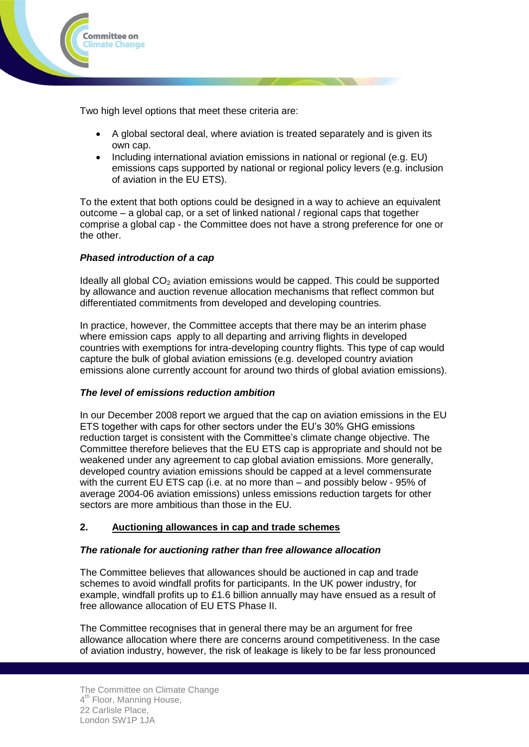

Two high level options that meet these criteria are:

- A global sectoral deal, where aviation is treated separately and is given its own cap.
- Including international aviation emissions in national or regional (e.g. EU) emissions caps supported by national or regional policy levers (e.g. inclusion of aviation in the EU ETS).

To the extent that both options could be designed in a way to achieve an equivalent outcome – a global cap, or a set of linked national / regional caps that together comprise a global cap - the Committee does not have a strong preference for one or the other.

# *Phased introduction of a cap*

Ideally all global  $CO<sub>2</sub>$  aviation emissions would be capped. This could be supported by allowance and auction revenue allocation mechanisms that reflect common but differentiated commitments from developed and developing countries.

In practice, however, the Committee accepts that there may be an interim phase where emission caps apply to all departing and arriving flights in developed countries with exemptions for intra-developing country flights. This type of cap would capture the bulk of global aviation emissions (e.g. developed country aviation emissions alone currently account for around two thirds of global aviation emissions).

### *The level of emissions reduction ambition*

In our December 2008 report we argued that the cap on aviation emissions in the EU ETS together with caps for other sectors under the EU's 30% GHG emissions reduction target is consistent with the Committee's climate change objective. The Committee therefore believes that the EU ETS cap is appropriate and should not be weakened under any agreement to cap global aviation emissions. More generally, developed country aviation emissions should be capped at a level commensurate with the current EU ETS cap (i.e. at no more than – and possibly below - 95% of average 2004-06 aviation emissions) unless emissions reduction targets for other sectors are more ambitious than those in the EU.

# **2. Auctioning allowances in cap and trade schemes**

### *The rationale for auctioning rather than free allowance allocation*

The Committee believes that allowances should be auctioned in cap and trade schemes to avoid windfall profits for participants. In the UK power industry, for example, windfall profits up to £1.6 billion annually may have ensued as a result of free allowance allocation of EU ETS Phase II.

The Committee recognises that in general there may be an argument for free allowance allocation where there are concerns around competitiveness. In the case of aviation industry, however, the risk of leakage is likely to be far less pronounced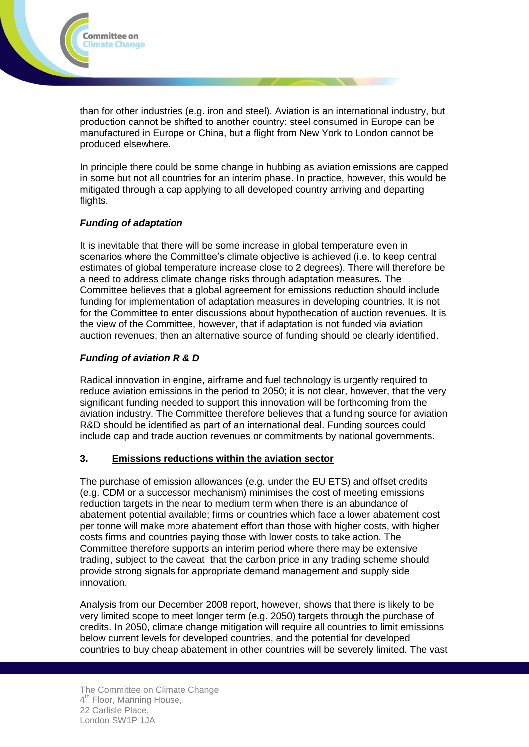

than for other industries (e.g. iron and steel). Aviation is an international industry, but production cannot be shifted to another country: steel consumed in Europe can be manufactured in Europe or China, but a flight from New York to London cannot be produced elsewhere.

In principle there could be some change in hubbing as aviation emissions are capped in some but not all countries for an interim phase. In practice, however, this would be mitigated through a cap applying to all developed country arriving and departing flights.

### *Funding of adaptation*

It is inevitable that there will be some increase in global temperature even in scenarios where the Committee's climate objective is achieved (i.e. to keep central estimates of global temperature increase close to 2 degrees). There will therefore be a need to address climate change risks through adaptation measures. The Committee believes that a global agreement for emissions reduction should include funding for implementation of adaptation measures in developing countries. It is not for the Committee to enter discussions about hypothecation of auction revenues. It is the view of the Committee, however, that if adaptation is not funded via aviation auction revenues, then an alternative source of funding should be clearly identified.

## *Funding of aviation R & D*

Radical innovation in engine, airframe and fuel technology is urgently required to reduce aviation emissions in the period to 2050; it is not clear, however, that the very significant funding needed to support this innovation will be forthcoming from the aviation industry. The Committee therefore believes that a funding source for aviation R&D should be identified as part of an international deal. Funding sources could include cap and trade auction revenues or commitments by national governments.

### **3. Emissions reductions within the aviation sector**

The purchase of emission allowances (e.g. under the EU ETS) and offset credits (e.g. CDM or a successor mechanism) minimises the cost of meeting emissions reduction targets in the near to medium term when there is an abundance of abatement potential available; firms or countries which face a lower abatement cost per tonne will make more abatement effort than those with higher costs, with higher costs firms and countries paying those with lower costs to take action. The Committee therefore supports an interim period where there may be extensive trading, subject to the caveat that the carbon price in any trading scheme should provide strong signals for appropriate demand management and supply side innovation.

Analysis from our December 2008 report, however, shows that there is likely to be very limited scope to meet longer term (e.g. 2050) targets through the purchase of credits. In 2050, climate change mitigation will require all countries to limit emissions below current levels for developed countries, and the potential for developed countries to buy cheap abatement in other countries will be severely limited. The vast